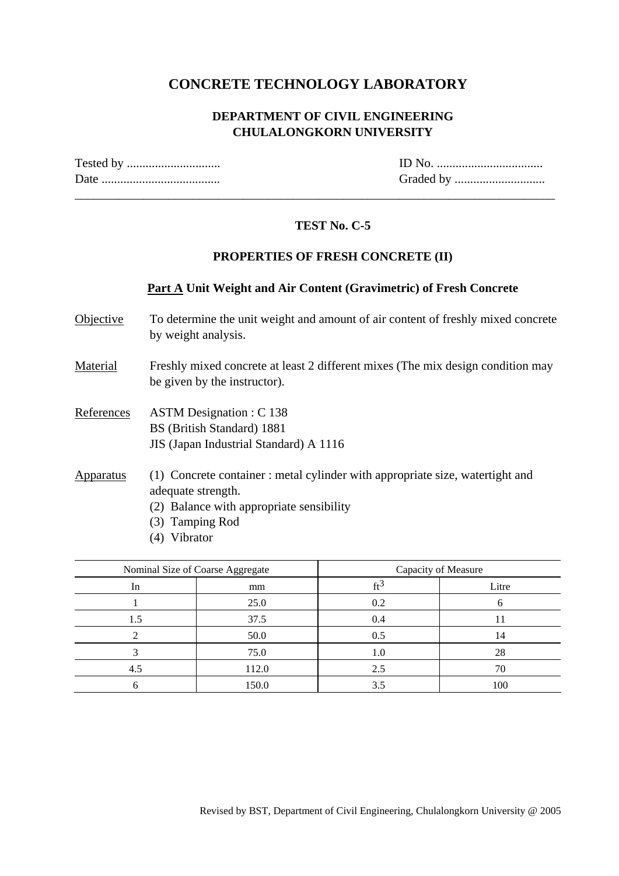## **CONCRETE TECHNOLOGY LABORATORY**

### **DEPARTMENT OF CIVIL ENGINEERING CHULALONGKORN UNIVERSITY**

 $ID$  No.  $\dots\dots\dots\dots\dots\dots\dots\dots\dots\dots$ Date ...................................... Graded by .............................

### **TEST No. C-5**

\_\_\_\_\_\_\_\_\_\_\_\_\_\_\_\_\_\_\_\_\_\_\_\_\_\_\_\_\_\_\_\_\_\_\_\_\_\_\_\_\_\_\_\_\_\_\_\_\_\_\_\_\_\_\_\_\_\_\_\_\_\_\_\_\_\_\_\_\_\_\_\_\_\_\_\_\_

#### **PROPERTIES OF FRESH CONCRETE (II)**

#### **Part A Unit Weight and Air Content (Gravimetric) of Fresh Concrete**

- Objective To determine the unit weight and amount of air content of freshly mixed concrete by weight analysis.
- Material Freshly mixed concrete at least 2 different mixes (The mix design condition may be given by the instructor).
- References ASTM Designation : C 138 BS (British Standard) 1881 JIS (Japan Industrial Standard) A 1116
- Apparatus (1) Concrete container : metal cylinder with appropriate size, watertight and adequate strength.
	- (2) Balance with appropriate sensibility
	- (3) Tamping Rod
	- (4) Vibrator

|     | Nominal Size of Coarse Aggregate | Capacity of Measure |       |  |  |
|-----|----------------------------------|---------------------|-------|--|--|
| In  | mm                               | ft                  | Litre |  |  |
|     | 25.0                             | 0.2                 |       |  |  |
| 1.5 | 37.5                             | 0.4                 |       |  |  |
|     | 50.0                             | 0.5                 | 14    |  |  |
|     | 75.0                             | 1.0                 | 28    |  |  |
| 4.5 | 112.0                            | 2.5                 | 70    |  |  |
|     | 150.0                            | 3.5                 | 100   |  |  |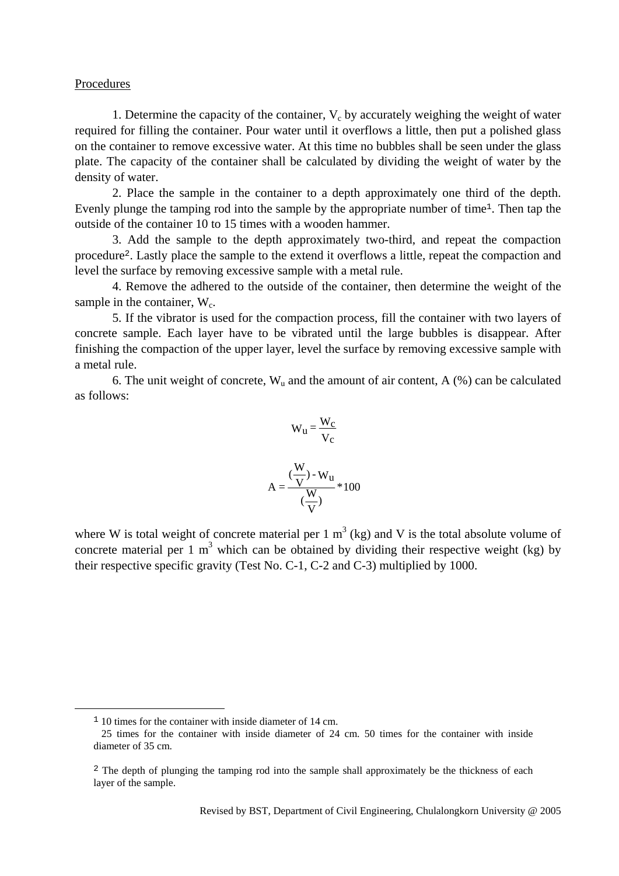#### Procedures

1. Determine the capacity of the container,  $V_c$  by accurately weighing the weight of water required for filling the container. Pour water until it overflows a little, then put a polished glass on the container to remove excessive water. At this time no bubbles shall be seen under the glass plate. The capacity of the container shall be calculated by dividing the weight of water by the density of water.

 2. Place the sample in the container to a depth approximately one third of the depth. Evenly plunge the tamping rod into the sample by the appropriate number of time1. Then tap the outside of the container 10 to 15 times with a wooden hammer.

 3. Add the sample to the depth approximately two-third, and repeat the compaction procedure2. Lastly place the sample to the extend it overflows a little, repeat the compaction and level the surface by removing excessive sample with a metal rule.

 4. Remove the adhered to the outside of the container, then determine the weight of the sample in the container,  $W_c$ .

 5. If the vibrator is used for the compaction process, fill the container with two layers of concrete sample. Each layer have to be vibrated until the large bubbles is disappear. After finishing the compaction of the upper layer, level the surface by removing excessive sample with a metal rule.

6. The unit weight of concrete,  $W_{\mu}$  and the amount of air content, A (%) can be calculated as follows:

$$
W_{u} = \frac{W_{c}}{V_{c}}
$$

$$
A = \frac{\left(\frac{W}{V}\right) - W_{u}}{\left(\frac{W}{V}\right)} * 100
$$

where W is total weight of concrete material per 1  $m<sup>3</sup>$  (kg) and V is the total absolute volume of concrete material per 1  $m<sup>3</sup>$  which can be obtained by dividing their respective weight (kg) by their respective specific gravity (Test No. C-1, C-2 and C-3) multiplied by 1000.

<sup>&</sup>lt;sup>1</sup> 10 times for the container with inside diameter of 14 cm.

 <sup>25</sup> times for the container with inside diameter of 24 cm. 50 times for the container with inside diameter of 35 cm.

<sup>&</sup>lt;sup>2</sup> The depth of plunging the tamping rod into the sample shall approximately be the thickness of each layer of the sample.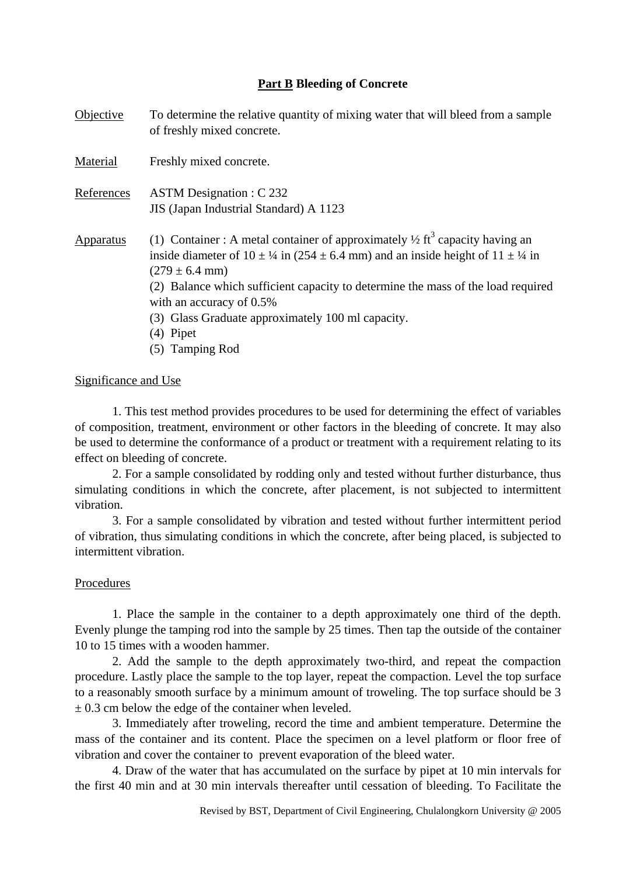#### **Part B Bleeding of Concrete**

| Objective  | To determine the relative quantity of mixing water that will bleed from a sample<br>of freshly mixed concrete.                                                                                                                                                                                                                                                                                                                                           |
|------------|----------------------------------------------------------------------------------------------------------------------------------------------------------------------------------------------------------------------------------------------------------------------------------------------------------------------------------------------------------------------------------------------------------------------------------------------------------|
| Material   | Freshly mixed concrete.                                                                                                                                                                                                                                                                                                                                                                                                                                  |
| References | <b>ASTM Designation : C 232</b><br>JIS (Japan Industrial Standard) A 1123                                                                                                                                                                                                                                                                                                                                                                                |
| Apparatus  | (1) Container: A metal container of approximately $\frac{1}{2}$ ft <sup>3</sup> capacity having an<br>inside diameter of $10 \pm \frac{1}{4}$ in (254 $\pm$ 6.4 mm) and an inside height of $11 \pm \frac{1}{4}$ in<br>$(279 \pm 6.4 \text{ mm})$<br>(2) Balance which sufficient capacity to determine the mass of the load required<br>with an accuracy of 0.5%<br>(3) Glass Graduate approximately 100 ml capacity.<br>$(4)$ Pipet<br>(5) Tamping Rod |

#### Significance and Use

 1. This test method provides procedures to be used for determining the effect of variables of composition, treatment, environment or other factors in the bleeding of concrete. It may also be used to determine the conformance of a product or treatment with a requirement relating to its effect on bleeding of concrete.

 2. For a sample consolidated by rodding only and tested without further disturbance, thus simulating conditions in which the concrete, after placement, is not subjected to intermittent vibration.

 3. For a sample consolidated by vibration and tested without further intermittent period of vibration, thus simulating conditions in which the concrete, after being placed, is subjected to intermittent vibration.

#### Procedures

 1. Place the sample in the container to a depth approximately one third of the depth. Evenly plunge the tamping rod into the sample by 25 times. Then tap the outside of the container 10 to 15 times with a wooden hammer.

 2. Add the sample to the depth approximately two-third, and repeat the compaction procedure. Lastly place the sample to the top layer, repeat the compaction. Level the top surface to a reasonably smooth surface by a minimum amount of troweling. The top surface should be 3  $\pm$  0.3 cm below the edge of the container when leveled.

 3. Immediately after troweling, record the time and ambient temperature. Determine the mass of the container and its content. Place the specimen on a level platform or floor free of vibration and cover the container to prevent evaporation of the bleed water.

 4. Draw of the water that has accumulated on the surface by pipet at 10 min intervals for the first 40 min and at 30 min intervals thereafter until cessation of bleeding. To Facilitate the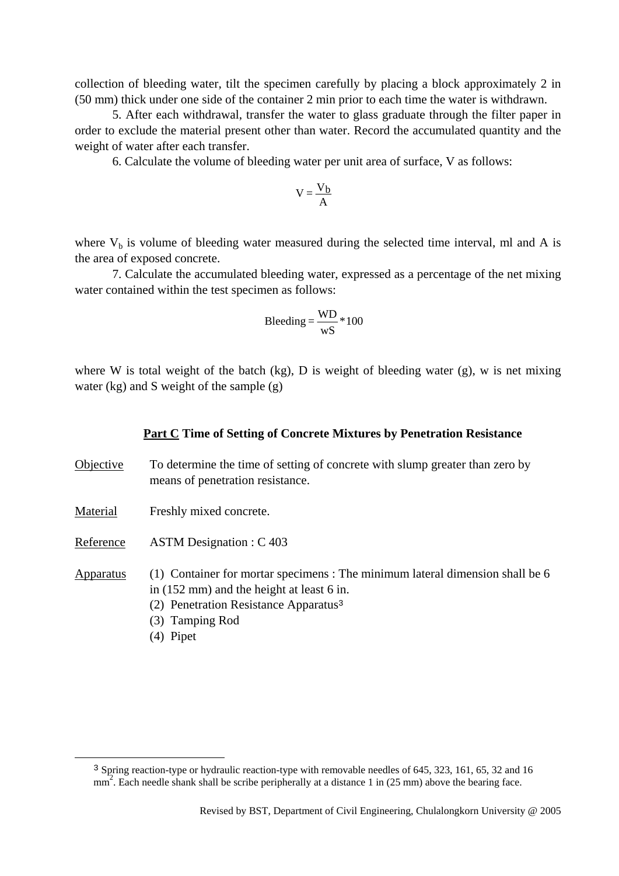collection of bleeding water, tilt the specimen carefully by placing a block approximately 2 in (50 mm) thick under one side of the container 2 min prior to each time the water is withdrawn.

 5. After each withdrawal, transfer the water to glass graduate through the filter paper in order to exclude the material present other than water. Record the accumulated quantity and the weight of water after each transfer.

6. Calculate the volume of bleeding water per unit area of surface, V as follows:

$$
V=\frac{V_b}{A}
$$

where  $V_b$  is volume of bleeding water measured during the selected time interval, ml and A is the area of exposed concrete.

 7. Calculate the accumulated bleeding water, expressed as a percentage of the net mixing water contained within the test specimen as follows:

$$
Bleading = \frac{WD}{wS} * 100
$$

where W is total weight of the batch (kg), D is weight of bleeding water (g), w is net mixing water (kg) and S weight of the sample (g)

#### **Part C Time of Setting of Concrete Mixtures by Penetration Resistance**

- Objective To determine the time of setting of concrete with slump greater than zero by means of penetration resistance.
- Material Freshly mixed concrete.
- Reference ASTM Designation : C 403

Apparatus (1) Container for mortar specimens : The minimum lateral dimension shall be 6 in (152 mm) and the height at least 6 in.

- (2) Penetration Resistance Apparatus<sup>3</sup>
- (3) Tamping Rod
- (4) Pipet

 <sup>3</sup> Spring reaction-type or hydraulic reaction-type with removable needles of 645, 323, 161, 65, 32 and 16  $\frac{1}{2}$ . Each needle shank shall be scribe peripherally at a distance 1 in (25 mm) above the bearing face.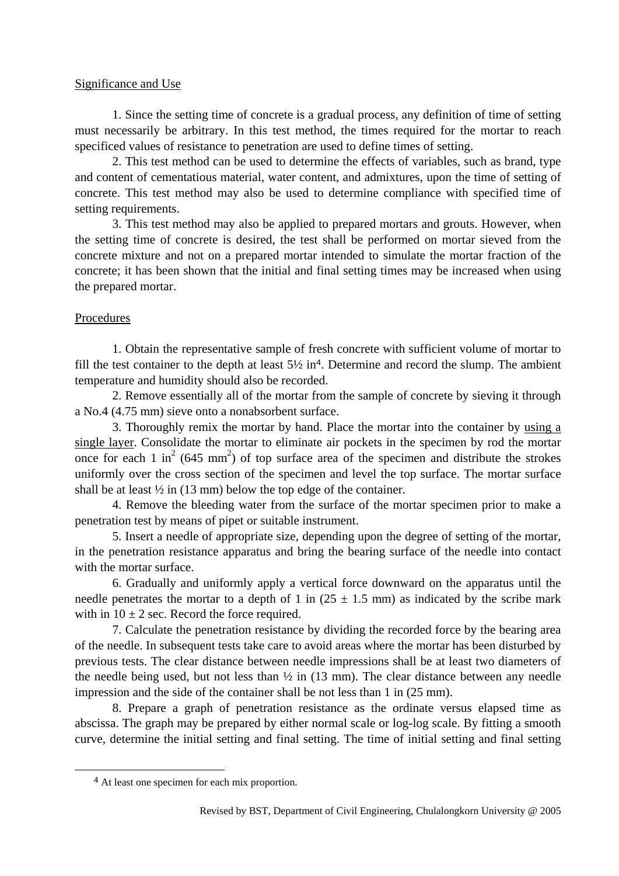#### Significance and Use

 1. Since the setting time of concrete is a gradual process, any definition of time of setting must necessarily be arbitrary. In this test method, the times required for the mortar to reach specificed values of resistance to penetration are used to define times of setting.

 2. This test method can be used to determine the effects of variables, such as brand, type and content of cementatious material, water content, and admixtures, upon the time of setting of concrete. This test method may also be used to determine compliance with specified time of setting requirements.

 3. This test method may also be applied to prepared mortars and grouts. However, when the setting time of concrete is desired, the test shall be performed on mortar sieved from the concrete mixture and not on a prepared mortar intended to simulate the mortar fraction of the concrete; it has been shown that the initial and final setting times may be increased when using the prepared mortar.

#### Procedures

 1. Obtain the representative sample of fresh concrete with sufficient volume of mortar to fill the test container to the depth at least  $5\frac{1}{2}$  in<sup>4</sup>. Determine and record the slump. The ambient temperature and humidity should also be recorded.

 2. Remove essentially all of the mortar from the sample of concrete by sieving it through a No.4 (4.75 mm) sieve onto a nonabsorbent surface.

 3. Thoroughly remix the mortar by hand. Place the mortar into the container by using a single layer. Consolidate the mortar to eliminate air pockets in the specimen by rod the mortar once for each 1 in<sup>2</sup> (645 mm<sup>2</sup>) of top surface area of the specimen and distribute the strokes uniformly over the cross section of the specimen and level the top surface. The mortar surface shall be at least  $\frac{1}{2}$  in (13 mm) below the top edge of the container.

 4. Remove the bleeding water from the surface of the mortar specimen prior to make a penetration test by means of pipet or suitable instrument.

 5. Insert a needle of appropriate size, depending upon the degree of setting of the mortar, in the penetration resistance apparatus and bring the bearing surface of the needle into contact with the mortar surface.

 6. Gradually and uniformly apply a vertical force downward on the apparatus until the needle penetrates the mortar to a depth of 1 in  $(25 \pm 1.5 \text{ mm})$  as indicated by the scribe mark with in  $10 \pm 2$  sec. Record the force required.

 7. Calculate the penetration resistance by dividing the recorded force by the bearing area of the needle. In subsequent tests take care to avoid areas where the mortar has been disturbed by previous tests. The clear distance between needle impressions shall be at least two diameters of the needle being used, but not less than  $\frac{1}{2}$  in (13 mm). The clear distance between any needle impression and the side of the container shall be not less than 1 in (25 mm).

 8. Prepare a graph of penetration resistance as the ordinate versus elapsed time as abscissa. The graph may be prepared by either normal scale or log-log scale. By fitting a smooth curve, determine the initial setting and final setting. The time of initial setting and final setting

 <sup>4</sup> At least one specimen for each mix proportion.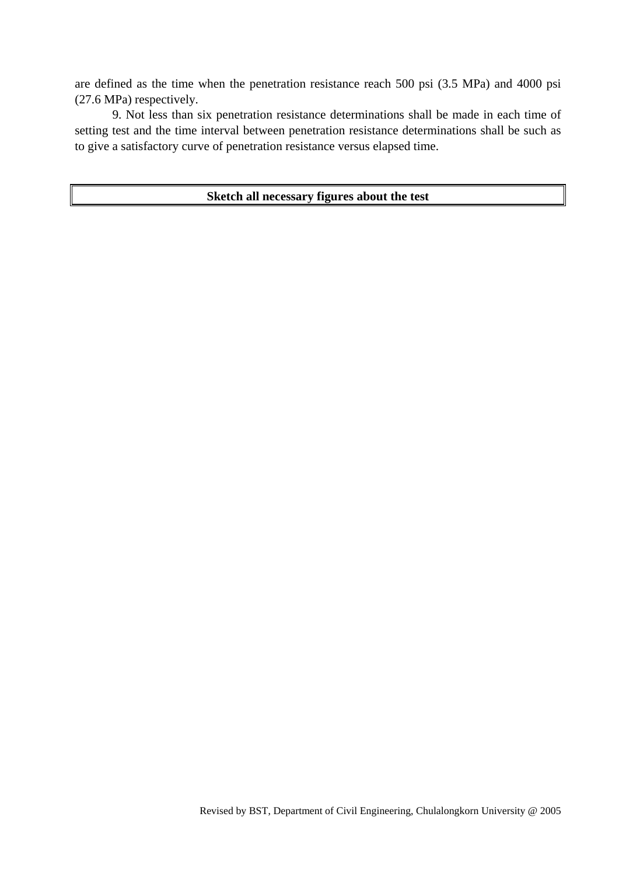are defined as the time when the penetration resistance reach 500 psi (3.5 MPa) and 4000 psi (27.6 MPa) respectively.

 9. Not less than six penetration resistance determinations shall be made in each time of setting test and the time interval between penetration resistance determinations shall be such as to give a satisfactory curve of penetration resistance versus elapsed time.

#### **Sketch all necessary figures about the test**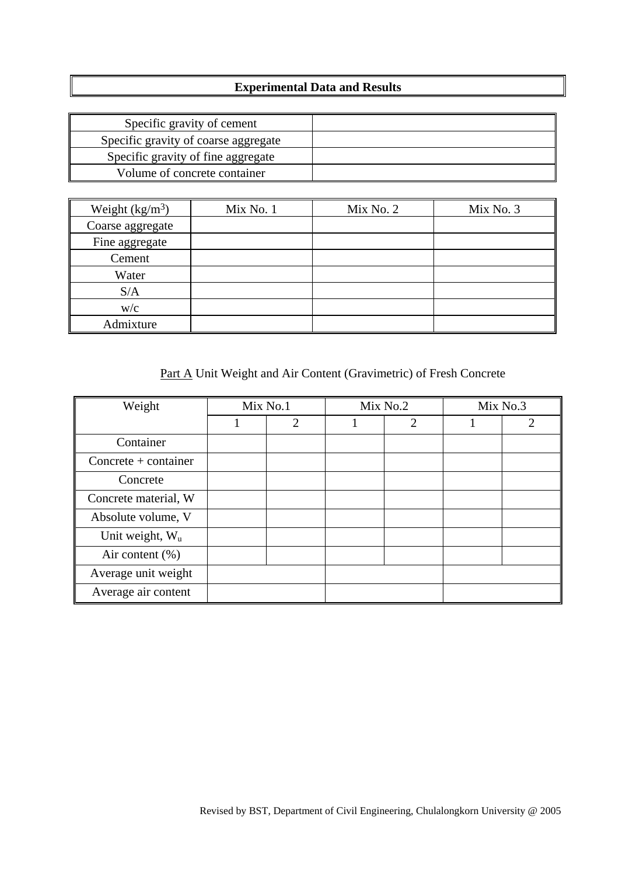## **Experimental Data and Results**

| Specific gravity of cement           |  |
|--------------------------------------|--|
| Specific gravity of coarse aggregate |  |
| Specific gravity of fine aggregate   |  |
| Volume of concrete container         |  |

| Weight $(kg/m3)$ | Mix No. 1 | Mix No. 2 | Mix No. 3 |
|------------------|-----------|-----------|-----------|
| Coarse aggregate |           |           |           |
| Fine aggregate   |           |           |           |
| Cement           |           |           |           |
| Water            |           |           |           |
| S/A              |           |           |           |
| W/C              |           |           |           |
| Admixture        |           |           |           |

# Part A Unit Weight and Air Content (Gravimetric) of Fresh Concrete

| Weight                 | Mix No.1 |                | Mix No.2       | Mix No.3 |   |  |
|------------------------|----------|----------------|----------------|----------|---|--|
|                        |          | $\overline{2}$ | $\overline{2}$ |          | 2 |  |
| Container              |          |                |                |          |   |  |
| $Concrete + container$ |          |                |                |          |   |  |
| Concrete               |          |                |                |          |   |  |
| Concrete material, W   |          |                |                |          |   |  |
| Absolute volume, V     |          |                |                |          |   |  |
| Unit weight, $W_u$     |          |                |                |          |   |  |
| Air content $(\%)$     |          |                |                |          |   |  |
| Average unit weight    |          |                |                |          |   |  |
| Average air content    |          |                |                |          |   |  |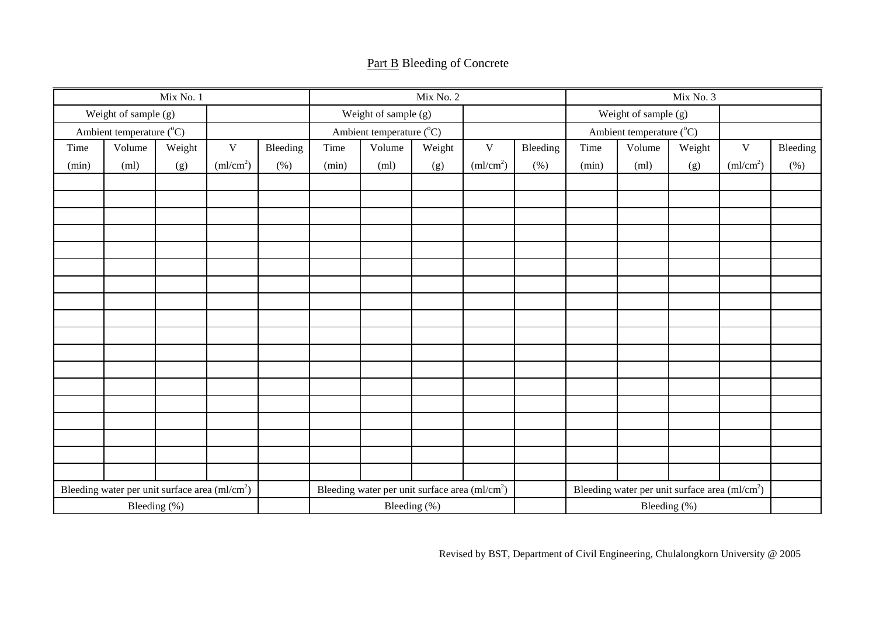|  |  | <b>Part B</b> Bleeding of Concrete |
|--|--|------------------------------------|
|--|--|------------------------------------|

|       |                                                            | Mix No. 1    |                       |          |       |                                                            | Mix No. 2    |                       |                          |                      |                                                            | Mix No. 3 |                        |          |
|-------|------------------------------------------------------------|--------------|-----------------------|----------|-------|------------------------------------------------------------|--------------|-----------------------|--------------------------|----------------------|------------------------------------------------------------|-----------|------------------------|----------|
|       | Weight of sample (g)                                       |              |                       |          |       | Weight of sample (g)                                       |              |                       |                          | Weight of sample (g) |                                                            |           |                        |          |
|       | Ambient temperature (°C)                                   |              |                       |          |       | Ambient temperature (°C)                                   |              |                       | Ambient temperature (°C) |                      |                                                            |           |                        |          |
| Time  | Volume                                                     | Weight       | $\mathbf{V}$          | Bleeding | Time  | Volume                                                     | Weight       | $\mathbf{V}$          | Bleeding                 | Time                 | Volume                                                     | Weight    | $\mathbf V$            | Bleeding |
| (min) | (ml)                                                       | (g)          | (ml/cm <sup>2</sup> ) | (% )     | (min) | (ml)                                                       | (g)          | (ml/cm <sup>2</sup> ) | (% )                     | (min)                | (ml)                                                       | (g)       | $\text{m}/\text{cm}^2$ | (% )     |
|       |                                                            |              |                       |          |       |                                                            |              |                       |                          |                      |                                                            |           |                        |          |
|       |                                                            |              |                       |          |       |                                                            |              |                       |                          |                      |                                                            |           |                        |          |
|       |                                                            |              |                       |          |       |                                                            |              |                       |                          |                      |                                                            |           |                        |          |
|       |                                                            |              |                       |          |       |                                                            |              |                       |                          |                      |                                                            |           |                        |          |
|       |                                                            |              |                       |          |       |                                                            |              |                       |                          |                      |                                                            |           |                        |          |
|       |                                                            |              |                       |          |       |                                                            |              |                       |                          |                      |                                                            |           |                        |          |
|       |                                                            |              |                       |          |       |                                                            |              |                       |                          |                      |                                                            |           |                        |          |
|       |                                                            |              |                       |          |       |                                                            |              |                       |                          |                      |                                                            |           |                        |          |
|       |                                                            |              |                       |          |       |                                                            |              |                       |                          |                      |                                                            |           |                        |          |
|       |                                                            |              |                       |          |       |                                                            |              |                       |                          |                      |                                                            |           |                        |          |
|       |                                                            |              |                       |          |       |                                                            |              |                       |                          |                      |                                                            |           |                        |          |
|       |                                                            |              |                       |          |       |                                                            |              |                       |                          |                      |                                                            |           |                        |          |
|       |                                                            |              |                       |          |       |                                                            |              |                       |                          |                      |                                                            |           |                        |          |
|       |                                                            |              |                       |          |       |                                                            |              |                       |                          |                      |                                                            |           |                        |          |
|       |                                                            |              |                       |          |       |                                                            |              |                       |                          |                      |                                                            |           |                        |          |
|       |                                                            |              |                       |          |       |                                                            |              |                       |                          |                      |                                                            |           |                        |          |
|       |                                                            |              |                       |          |       |                                                            |              |                       |                          |                      |                                                            |           |                        |          |
|       |                                                            |              |                       |          |       |                                                            |              |                       |                          |                      |                                                            |           |                        |          |
|       | Bleeding water per unit surface area (ml/cm <sup>2</sup> ) |              |                       |          |       | Bleeding water per unit surface area (ml/cm <sup>2</sup> ) |              |                       |                          |                      | Bleeding water per unit surface area (ml/cm <sup>2</sup> ) |           |                        |          |
|       |                                                            | Bleeding (%) |                       |          |       |                                                            | Bleeding (%) |                       |                          | Bleeding (%)         |                                                            |           |                        |          |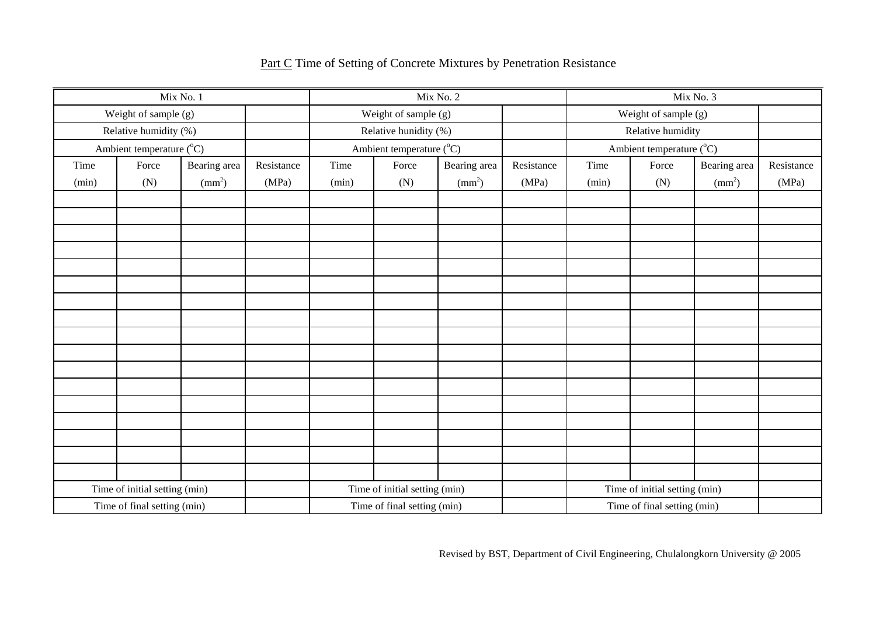| Mix No. 1                     |                             |                 |                               |                      | Mix No. 2                   |                               | Mix No. 3  |                   |                             |               |            |
|-------------------------------|-----------------------------|-----------------|-------------------------------|----------------------|-----------------------------|-------------------------------|------------|-------------------|-----------------------------|---------------|------------|
|                               | Weight of sample (g)        |                 |                               | Weight of sample (g) |                             |                               |            |                   | Weight of sample (g)        |               |            |
|                               | Relative humidity (%)       |                 |                               |                      | Relative hunidity (%)       |                               |            | Relative humidity |                             |               |            |
|                               | Ambient temperature (°C)    |                 |                               |                      | Ambient temperature (°C)    |                               |            |                   | Ambient temperature (°C)    |               |            |
| Time                          | Force                       | Bearing area    | Resistance                    | Time                 | Force                       | Bearing area                  | Resistance | Time              | Force                       | Bearing area  | Resistance |
| (min)                         | (N)                         | $\text{(mm}^2)$ | (MPa)                         | (min)                | (N)                         | $\text{mm}^2$                 | (MPa)      | (min)             | (N)                         | $\text{mm}^2$ | (MPa)      |
|                               |                             |                 |                               |                      |                             |                               |            |                   |                             |               |            |
|                               |                             |                 |                               |                      |                             |                               |            |                   |                             |               |            |
|                               |                             |                 |                               |                      |                             |                               |            |                   |                             |               |            |
|                               |                             |                 |                               |                      |                             |                               |            |                   |                             |               |            |
|                               |                             |                 |                               |                      |                             |                               |            |                   |                             |               |            |
|                               |                             |                 |                               |                      |                             |                               |            |                   |                             |               |            |
|                               |                             |                 |                               |                      |                             |                               |            |                   |                             |               |            |
|                               |                             |                 |                               |                      |                             |                               |            |                   |                             |               |            |
|                               |                             |                 |                               |                      |                             |                               |            |                   |                             |               |            |
|                               |                             |                 |                               |                      |                             |                               |            |                   |                             |               |            |
|                               |                             |                 |                               |                      |                             |                               |            |                   |                             |               |            |
|                               |                             |                 |                               |                      |                             |                               |            |                   |                             |               |            |
|                               |                             |                 |                               |                      |                             |                               |            |                   |                             |               |            |
|                               |                             |                 |                               |                      |                             |                               |            |                   |                             |               |            |
|                               |                             |                 |                               |                      |                             |                               |            |                   |                             |               |            |
|                               |                             |                 |                               |                      |                             |                               |            |                   |                             |               |            |
|                               |                             |                 |                               |                      |                             |                               |            |                   |                             |               |            |
| Time of initial setting (min) |                             |                 | Time of initial setting (min) |                      |                             | Time of initial setting (min) |            |                   |                             |               |            |
|                               | Time of final setting (min) |                 |                               |                      | Time of final setting (min) |                               |            |                   | Time of final setting (min) |               |            |

## Part C Time of Setting of Concrete Mixtures by Penetration Resistance